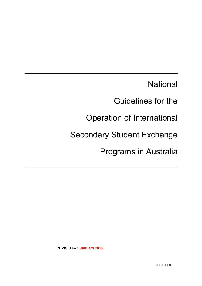**National** 

Guidelines for the

Operation of International

Secondary Student Exchange

Programs in Australia

**REVISED – 1 January 2022**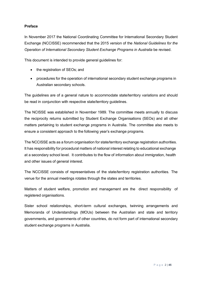#### **Preface**

In November 2017 the National Coordinating Committee for International Secondary Student Exchange (NCCISSE) recommended that the 2015 version of the *National Guidelines for the Operation of International Secondary Student Exchange Programs in Australia* be revised.

This document is intended to provide general guidelines for:

- the registration of SEOs; and
- procedures for the operation of international secondary student exchange programs in Australian secondary schools.

The guidelines are of a general nature to accommodate state/territory variations and should be read in conjunction with respective state/territory guidelines.

The NCISSE was established in November 1989. The committee meets annually to discuss the reciprocity returns submitted by Student Exchange Organisations (SEOs) and all other matters pertaining to student exchange programs in Australia. The committee also meets to ensure a consistent approach to the following year's exchange programs.

The NCCISSE acts as a forum organisation for state/territory exchange registration authorities. It has responsibility for procedural matters of national interest relating to educational exchange at a secondary school level. It contributes to the flow of information about immigration, health and other issues of general interest.

The NCCISSE consists of representatives of the state/territory registration authorities. The venue for the annual meetings rotates through the states and territories.

Matters of student welfare, promotion and management are the direct responsibility of registered organisations.

Sister school relationships, short-term cultural exchanges, twinning arrangements and Memoranda of Understandings (MOUs) between the Australian and state and territory governments, and governments of other countries, do not form part of international secondary student exchange programs in Australia.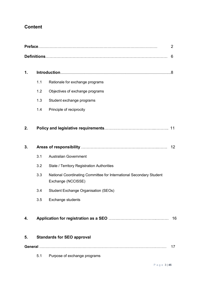# **Content**

| $\overline{2}$ |     |                                                                                           |                   |
|----------------|-----|-------------------------------------------------------------------------------------------|-------------------|
|                |     |                                                                                           | 6                 |
| 1.             |     |                                                                                           |                   |
|                | 1.1 | Rationale for exchange programs                                                           |                   |
|                | 1.2 | Objectives of exchange programs                                                           |                   |
|                | 1.3 | Student exchange programs                                                                 |                   |
|                | 1.4 | Principle of reciprocity                                                                  |                   |
| 2.             |     |                                                                                           |                   |
| 3.             |     |                                                                                           | $12 \overline{ }$ |
|                | 3.1 | <b>Australian Government</b>                                                              |                   |
|                | 3.2 | <b>State / Territory Registration Authorities</b>                                         |                   |
|                | 3.3 | National Coordinating Committee for International Secondary Student<br>Exchange (NCCISSE) |                   |
|                | 3.4 | <b>Student Exchange Organisation (SEOs)</b>                                               |                   |
|                | 3.5 | <b>Exchange students</b>                                                                  |                   |
| 4.             |     |                                                                                           | 16                |
| 5.             |     | <b>Standards for SEO approval</b>                                                         |                   |
|                |     |                                                                                           | 17                |
|                | 5.1 | Purpose of exchange programs                                                              |                   |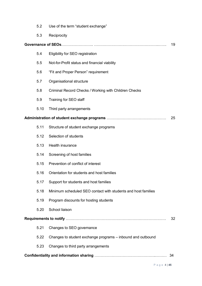|    | 5.2  | Use of the term "student exchange"                            |    |
|----|------|---------------------------------------------------------------|----|
|    | 5.3  | Reciprocity                                                   |    |
|    |      |                                                               | 19 |
|    | 5.4  | Eligibility for SEO registration                              |    |
|    | 5.5  | Not-for-Profit status and financial viability                 |    |
|    | 5.6  | "Fit and Proper Person" requirement                           |    |
|    | 5.7  | Organisational structure                                      |    |
|    | 5.8  | Criminal Record Checks / Working with Children Checks         |    |
|    | 5.9  | Training for SEO staff                                        |    |
|    | 5.10 | Third party arrangements                                      |    |
|    |      |                                                               | 25 |
|    | 5.11 | Structure of student exchange programs                        |    |
|    | 5.12 | Selection of students                                         |    |
|    | 5.13 | Health insurance                                              |    |
|    | 5.14 | Screening of host families                                    |    |
|    | 5.15 | Prevention of conflict of interest                            |    |
|    | 5.16 | Orientation for students and host families                    |    |
|    | 5.17 | Support for students and host families                        |    |
|    | 5.18 | Minimum scheduled SEO contact with students and host families |    |
|    | 5.19 | Program discounts for hosting students                        |    |
|    | 5.20 | School liaison                                                |    |
|    |      |                                                               | 32 |
|    | 5.21 | Changes to SEO governance                                     |    |
|    | 5.22 | Changes to student exchange programs - inbound and outbound   |    |
|    | 5.23 | Changes to third party arrangements                           |    |
| 34 |      |                                                               |    |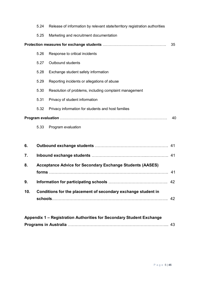|     | 5.24 | Release of information by relevant state/territory registration authorities |    |  |
|-----|------|-----------------------------------------------------------------------------|----|--|
|     | 5.25 | Marketing and recruitment documentation                                     |    |  |
|     |      |                                                                             | 35 |  |
|     | 5.26 | Response to critical incidents                                              |    |  |
|     | 5.27 | Outbound students                                                           |    |  |
|     | 5.28 | Exchange student safety information                                         |    |  |
|     | 5.29 | Reporting incidents or allegations of abuse                                 |    |  |
|     | 5.30 | Resolution of problems, including complaint management                      |    |  |
|     | 5.31 | Privacy of student information                                              |    |  |
|     | 5.32 | Privacy information for students and host families                          |    |  |
| 40  |      |                                                                             |    |  |
|     | 5.33 | Program evaluation                                                          |    |  |
|     |      |                                                                             |    |  |
| 6.  |      |                                                                             |    |  |
| 7.  |      |                                                                             |    |  |
| 8.  |      | <b>Acceptance Advice for Secondary Exchange Students (AASES)</b>            |    |  |
|     |      |                                                                             | 41 |  |
| 9.  |      |                                                                             |    |  |
| 10. |      | Conditions for the placement of secondary exchange student in               |    |  |
|     |      |                                                                             | 42 |  |
|     |      |                                                                             |    |  |

| Appendix 1 – Registration Authorities for Secondary Student Exchange |  |
|----------------------------------------------------------------------|--|
|                                                                      |  |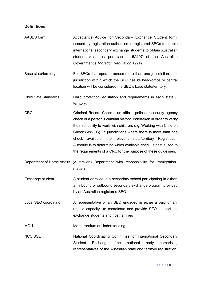#### **Definitions**

- AASES form **Acceptance Advice for Secondary Exchange Student form** (issued by registration authorities to registered SEOs to enable international secondary exchange students to obtain Australian student visas as per section 5A107 of the Australian Government's *Migration Regulation 1994*)
- Base state/territory For SEOs that operate across more than one jurisdiction, the jurisdiction within which the SEO has its head-office or central location will be considered the SEO's base state/territory.
- Child Safe Standards Child protection legislation and requirements in each state / territory.
- CRC Criminal Record Check an official police or security agency check of a person's criminal history undertaken in order to verify their suitability to work with children, e.g. Working with Children Check (WWCC). In jurisdictions where there is more than one check available, the relevant state/territory Registration Authority is to determine which available check is best suited to the requirements of a CRC for the purpose of these guidelines.
- Department of Home Affairs (Australian) Department with responsibility for Immigration matters
- Exchange student A student enrolled in a secondary school participating in either an inbound or outbound secondary exchange program provided by an Australian registered SEO
- Local SEO coordinator A representative of an SEO engaged in either a paid or an unpaid capacity to coordinate and provide SEO support to exchange students and host families

MOU Memorandum of Understanding

NCCISSE National Coordinating Committee for International Secondary Student Exchange (the national body comprising representatives of the Australian state and territory registration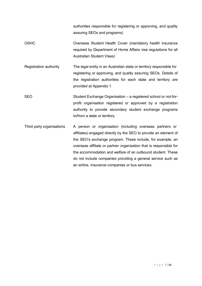authorities responsible for registering or approving, and quality assuring SEOs and programs)

- OSHC Overseas Student Health Cover (mandatory health insurance required by Department of Home Affairs visa regulations for all Australian Student Visas)
- Registration authority The legal entity in an Australian state or territory responsible for registering or approving, and quality assuring SEOs. Details of the registration authorities for each state and territory are provided at Appendix 1.
- SEO Student Exchange Organisation a registered school or not-forprofit organisation registered or approved by a registration authority to provide secondary student exchange programs to/from a state or territory.
- Third party organisations A person or organisation (including overseas partners or affiliates) engaged directly by the SEO to provide an element of the SEO's exchange program. These include, for example, an overseas affiliate or partner organisation that is responsible for the accommodation and welfare of an outbound student. These do not include companies providing a general service such as an airline, insurance companies or bus services.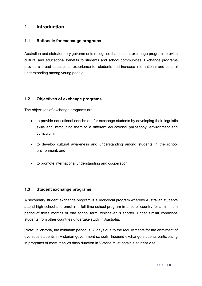# **1. Introduction**

#### **1.1 Rationale for exchange programs**

Australian and state/territory governments recognise that student exchange programs provide cultural and educational benefits to students and school communities. Exchange programs provide a broad educational experience for students and increase international and cultural understanding among young people.

## **1.2 Objectives of exchange programs**

The objectives of exchange programs are:

- to provide educational enrichment for exchange students by developing their linguistic skills and introducing them to a different educational philosophy, environment and curriculum;
- to develop cultural awareness and understanding among students in the school environment; and
- to promote international understanding and cooperation.

#### **1.3 Student exchange programs**

A secondary student exchange program is a reciprocal program whereby Australian students attend high school and enrol in a full time school program in another country for a minimum period of three months or one school term, whichever is shorter. Under similar conditions students from other countries undertake study in Australia.

[Note: In Victoria, the minimum period is 28 days due to the requirements for the enrolment of overseas students in Victorian government schools. Inbound exchange students participating in programs of more than 28 days duration in Victoria must obtain a student visa.]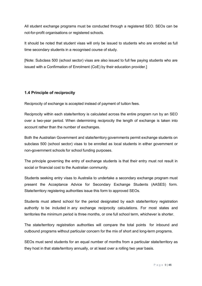All student exchange programs must be conducted through a registered SEO. SEOs can be not-for-profit organisations or registered schools.

It should be noted that student visas will only be issued to students who are enrolled as full time secondary students in a recognised course of study.

[Note: Subclass 500 (school sector) visas are also issued to full fee paying students who are issued with a Confirmation of Enrolment (CoE) by their education provider.]

## **1.4 Principle of reciprocity**

Reciprocity of exchange is accepted instead of payment of tuition fees.

Reciprocity within each state/territory is calculated across the entire program run by an SEO over a two-year period. When determining reciprocity the length of exchange is taken into account rather than the number of exchanges.

Both the Australian Government and state/territory governments permit exchange students on subclass 500 (school sector) visas to be enrolled as local students in either government or non-government schools for school funding purposes.

The principle governing the entry of exchange students is that their entry must not result in social or financial cost to the Australian community.

Students seeking entry visas to Australia to undertake a secondary exchange program must present the Acceptance Advice for Secondary Exchange Students (AASES) form. State/territory registering authorities issue this form to approved SEOs.

Students must attend school for the period designated by each state/territory registration authority to be included in any exchange reciprocity calculations. For most states and territories the minimum period is three months, or one full school term, whichever is shorter.

The state/territory registration authorities will compare the total points for inbound and outbound programs without particular concern for the mix of short and long-term programs.

SEOs must send students for an equal number of months from a particular state/territory as they host in that state/territory annually, or at least over a rolling two year basis.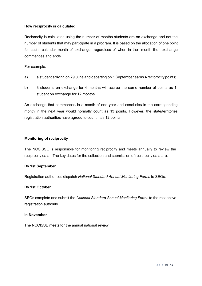#### **How reciprocity is calculated**

Reciprocity is calculated using the number of months students are on exchange and not the number of students that may participate in a program. It is based on the allocation of one point for each calendar month of exchange regardless of when in the month the exchange commences and ends.

For example:

- a) a student arriving on 29 June and departing on 1 September earns 4 reciprocity points;
- b) 3 students on exchange for 4 months will accrue the same number of points as 1 student on exchange for 12 months.

An exchange that commences in a month of one year and concludes in the corresponding month in the next year would normally count as 13 points. However, the state/territories registration authorities have agreed to count it as 12 points.

#### **Monitoring of reciprocity**

The NCCISSE is responsible for monitoring reciprocity and meets annually to review the reciprocity data. The key dates for the collection and submission of reciprocity data are:

#### **By 1st September**

Registration authorities dispatch *National Standard Annual Monitoring Forms* to SEOs.

#### **By 1st October**

SEOs complete and submit the *National Standard Annual Monitoring Forms* to the respective registration authority.

#### **In November**

The NCCISSE meets for the annual national review.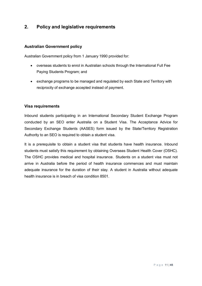# **2. Policy and legislative requirements**

#### **Australian Government policy**

Australian Government policy from 1 January 1990 provided for:

- overseas students to enrol in Australian schools through the International Full Fee Paying Students Program; and
- exchange programs to be managed and regulated by each State and Territory with reciprocity of exchange accepted instead of payment.

#### **Visa requirements**

Inbound students participating in an International Secondary Student Exchange Program conducted by an SEO enter Australia on a Student Visa. The Acceptance Advice for Secondary Exchange Students (AASES) form issued by the State/Territory Registration Authority to an SEO is required to obtain a student visa.

It is a prerequisite to obtain a student visa that students have health insurance. Inbound students must satisfy this requirement by obtaining Overseas Student Health Cover (OSHC). The OSHC provides medical and hospital insurance. Students on a student visa must not arrive in Australia before the period of health insurance commences and must maintain adequate insurance for the duration of their stay. A student in Australia without adequate health insurance is in breach of visa condition 8501.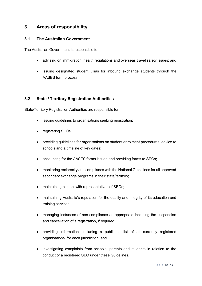# **3. Areas of responsibility**

#### **3.1 The Australian Government**

The Australian Government is responsible for:

- advising on immigration, health regulations and overseas travel safety issues; and
- issuing designated student visas for inbound exchange students through the AASES form process.

#### **3.2 State / Territory Registration Authorities**

State/Territory Registration Authorities are responsible for:

- issuing guidelines to organisations seeking registration;
- registering SEOs;
- providing guidelines for organisations on student enrolment procedures, advice to schools and a timeline of key dates;
- accounting for the AASES forms issued and providing forms to SEOs;
- monitoring reciprocity and compliance with the National Guidelines for all approved secondary exchange programs in their state/territory;
- maintaining contact with representatives of SEOs;
- maintaining Australia's reputation for the quality and integrity of its education and training services;
- managing instances of non-compliance as appropriate including the suspension and cancellation of a registration, if required;
- providing information, including a published list of all currently registered organisations, for each jurisdiction; and
- investigating complaints from schools, parents and students in relation to the conduct of a registered SEO under these Guidelines.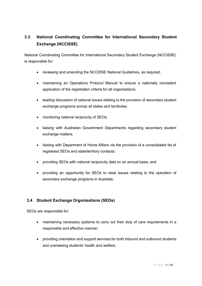# **3.3 National Coordinating Committee for International Secondary Student Exchange (NCCISSE)**

National Coordinating Committee for International Secondary Student Exchange (NCCISSE) is responsible for:

- reviewing and amending the NCCISSE National Guidelines, as required;
- maintaining an Operations Protocol Manual to ensure a nationally consistent application of the registration criteria for all organisations;
- leading discussion of national issues relating to the provision of secondary student exchange programs across all states and territories;
- monitoring national reciprocity of SEOs;
- liaising with Australian Government Departments regarding secondary student exchange matters;
- liaising with Department of Home Affairs via the provision of a consolidated list of registered SEOs and state/territory contacts;
- providing SEOs with national reciprocity data on an annual basis; and
- providing an opportunity for SEOs to raise issues relating to the operation of secondary exchange programs in Australia.

## **3.4 Student Exchange Organisations (SEOs)**

SEOs are responsible for:

- maintaining necessary systems to carry out their duty of care requirements in a responsible and effective manner;
- providing orientation and support services for both inbound and outbound students and overseeing students' health and welfare;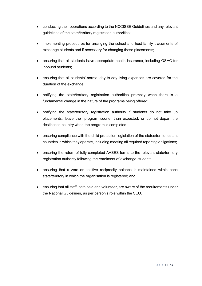- conducting their operations according to the NCCISSE Guidelines and any relevant guidelines of the state/territory registration authorities;
- implementing procedures for arranging the school and host family placements of exchange students and if necessary for changing these placements;
- ensuring that all students have appropriate health insurance, including OSHC for inbound students;
- ensuring that all students' normal day to day living expenses are covered for the duration of the exchange;
- notifying the state/territory registration authorities promptly when there is a fundamental change in the nature of the programs being offered;
- notifying the state/territory registration authority if students do not take up placements, leave the program sooner than expected, or do not depart the destination country when the program is completed;
- ensuring compliance with the child protection legislation of the states/territories and countries in which they operate, including meeting all required reporting obligations;
- ensuring the return of fully completed AASES forms to the relevant state/territory registration authority following the enrolment of exchange students;
- ensuring that a zero or positive reciprocity balance is maintained within each state/territory in which the organisation is registered; and
- ensuring that all staff, both paid and volunteer, are aware of the requirements under the National Guidelines, as per person's role within the SEO.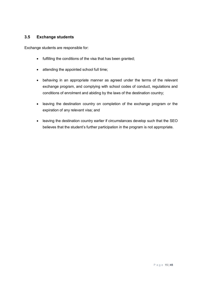## **3.5 Exchange students**

Exchange students are responsible for:

- fulfilling the conditions of the visa that has been granted;
- attending the appointed school full time;
- behaving in an appropriate manner as agreed under the terms of the relevant exchange program, and complying with school codes of conduct, regulations and conditions of enrolment and abiding by the laws of the destination country;
- leaving the destination country on completion of the exchange program or the expiration of any relevant visa; and
- leaving the destination country earlier if circumstances develop such that the SEO believes that the student's further participation in the program is not appropriate.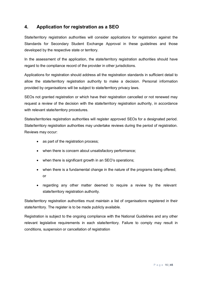# **4. Application for registration as a SEO**

State/territory registration authorities will consider applications for registration against the Standards for Secondary Student Exchange Approval in these guidelines and those developed by the respective state or territory.

In the assessment of the application, the state/territory registration authorities should have regard to the compliance record of the provider in other jurisdictions.

Applications for registration should address all the registration standards in sufficient detail to allow the state/territory registration authority to make a decision. Personal information provided by organisations will be subject to state/territory privacy laws.

SEOs not granted registration or which have their registration cancelled or not renewed may request a review of the decision with the state/territory registration authority, in accordance with relevant state/territory procedures.

States/territories registration authorities will register approved SEOs for a designated period. State/territory registration authorities may undertake reviews during the period of registration. Reviews may occur:

- as part of the registration process;
- when there is concern about unsatisfactory performance;
- when there is significant growth in an SEO's operations;
- when there is a fundamental change in the nature of the programs being offered; or
- regarding any other matter deemed to require a review by the relevant state/territory registration authority.

State/territory registration authorities must maintain a list of organisations registered in their state/territory. The register is to be made publicly available.

Registration is subject to the ongoing compliance with the National Guidelines and any other relevant legislative requirements in each state/territory. Failure to comply may result in conditions, suspension or cancellation of registration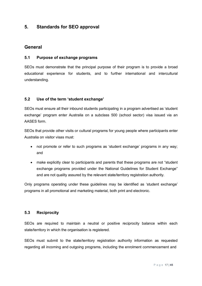# **5. Standards for SEO approval**

# **General**

#### **5.1 Purpose of exchange programs**

SEOs must demonstrate that the principal purpose of their program is to provide a broad educational experience for students, and to further international and intercultural understanding.

## **5.2 Use of the term 'student exchange'**

SEOs must ensure all their inbound students participating in a program advertised as 'student exchange' program enter Australia on a subclass 500 (school sector) visa issued via an AASES form.

SEOs that provide other visits or cultural programs for young people where participants enter Australia on visitor visas must:

- not promote or refer to such programs as 'student exchange' programs in any way; and
- make explicitly clear to participants and parents that these programs are not "student" exchange programs provided under the National Guidelines for Student Exchange" and are not quality assured by the relevant state/territory registration authority.

Only programs operating under these guidelines may be identified as 'student exchange' programs in all promotional and marketing material, both print and electronic.

## **5.3 Reciprocity**

SEOs are required to maintain a neutral or positive reciprocity balance within each state/territory in which the organisation is registered.

SEOs must submit to the state/territory registration authority information as requested regarding all incoming and outgoing programs, including the enrolment commencement and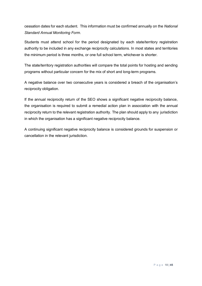cessation dates for each student. This information must be confirmed annually on the *National Standard Annual Monitoring Form*.

Students must attend school for the period designated by each state/territory registration authority to be included in any exchange reciprocity calculations. In most states and territories the minimum period is three months, or one full school term, whichever is shorter.

The state/territory registration authorities will compare the total points for hosting and sending programs without particular concern for the mix of short and long-term programs.

A negative balance over two consecutive years is considered a breach of the organisation's reciprocity obligation.

If the annual reciprocity return of the SEO shows a significant negative reciprocity balance, the organisation is required to submit a remedial action plan in association with the annual reciprocity return to the relevant registration authority. The plan should apply to any jurisdiction in which the organisation has a significant negative reciprocity balance.

A continuing significant negative reciprocity balance is considered grounds for suspension or cancellation in the relevant jurisdiction.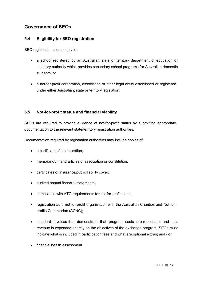# **Governance of SEOs**

#### **5.4 Eligibility for SEO registration**

SEO registration is open only to:

- a school registered by an Australian state or territory department of education or statutory authority which provides secondary school programs for Australian domestic students; or
- a not-for-profit corporation, association or other legal entity established or registered under either Australian, state or territory legislation.

#### **5.5 Not-for-profit status and financial viability**

SEOs are required to provide evidence of not-for-profit status by submitting appropriate documentation to the relevant state/territory registration authorities.

Documentation required by registration authorities may include copies of:

- a certificate of incorporation;
- memorandum and articles of association or constitution;
- certificates of insurance/public liability cover;
- audited annual financial statements;
- compliance with ATO requirements for not-for-profit status;
- registration as a not-for-profit organisation with the Australian Charities and Not-forprofits Commission (ACNC);
- standard invoices that demonstrate that program costs are reasonable and that revenue is expended entirely on the objectives of the exchange program. SEOs must indicate what is included in participation fees and what are optional extras; and / or
- financial health assessment.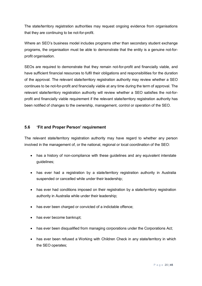The state/territory registration authorities may request ongoing evidence from organisations that they are continuing to be not-for-profit.

Where an SEO's business model includes programs other than secondary student exchange programs, the organisation must be able to demonstrate that the entity is a genuine not-forprofit organisation.

SEOs are required to demonstrate that they remain not-for-profit and financially viable, and have sufficient financial resources to fulfil their obligations and responsibilities for the duration of the approval. The relevant state/territory registration authority may review whether a SEO continues to be not-for-profit and financially viable at any time during the term of approval. The relevant state/territory registration authority will review whether a SEO satisfies the not-forprofit and financially viable requirement if the relevant state/territory registration authority has been notified of changes to the ownership, management, control or operation of the SEO.

#### **5.6 'Fit and Proper Person' requirement**

The relevant state/territory registration authority may have regard to whether any person involved in the management of, or the national, regional or local coordination of the SEO:

- has a history of non-compliance with these guidelines and any equivalent interstate guidelines;
- has ever had a registration by a state/territory registration authority in Australia suspended or cancelled while under their leadership;
- has ever had conditions imposed on their registration by a state/territory registration authority in Australia while under their leadership;
- has ever been charged or convicted of a indictable offence;
- has ever become bankrupt;
- has ever been disqualified from managing corporations under the Corporations Act;
- has ever been refused a Working with Children Check in any state/territory in which the SEO operates;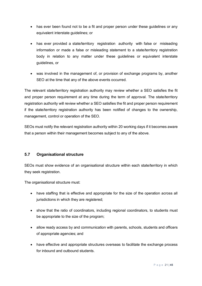- has ever been found not to be a fit and proper person under these guidelines or any equivalent interstate guidelines; or
- has ever provided a state/territory registration authority with false or misleading information or made a false or misleading statement to a state/territory registration body in relation to any matter under these guidelines or equivalent interstate guidelines, or
- was involved in the management of, or provision of exchange programs by, another SEO at the time that any of the above events occurred.

The relevant state/territory registration authority may review whether a SEO satisfies the fit and proper person requirement at any time during the term of approval. The state/territory registration authority will review whether a SEO satisfies the fit and proper person requirement if the state/territory registration authority has been notified of changes to the ownership, management, control or operation of the SEO.

SEOs must notify the relevant registration authority within 20 working days if it becomes aware that a person within their management becomes subject to any of the above.

## **5.7 Organisational structure**

SEOs must show evidence of an organisational structure within each state/territory in which they seek registration.

The organisational structure must:

- have staffing that is effective and appropriate for the size of the operation across all jurisdictions in which they are registered:
- show that the ratio of coordinators, including regional coordinators, to students must be appropriate to the size of the program;
- allow ready access by and communication with parents, schools, students and officers of appropriate agencies; and
- have effective and appropriate structures overseas to facilitate the exchange process for inbound and outbound students.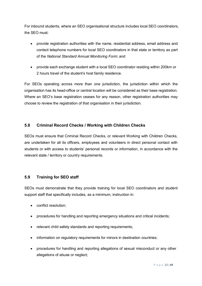For inbound students, where an SEO organisational structure includes local SEO coordinators, the SEO must:

- provide registration authorities with the name, residential address, email address and contact telephone numbers for local SEO coordinators in that state or territory as part of the *National Standard Annual Monitoring Form*; and
- provide each exchange student with a local SEO coordinator residing within 200km or 2 hours travel of the student's host family residence.

For SEOs operating across more than one jurisdiction, the jurisdiction within which the organisation has its head-office or central location will be considered as their base registration. Where an SEO's base registration ceases for any reason, other registration authorities may choose to review the registration of that organisation in their jurisdiction.

## **5.8 Criminal Record Checks / Working with Children Checks**

SEOs must ensure that Criminal Record Checks, or relevant Working with Children Checks, are undertaken for all its officers, employees and volunteers in direct personal contact with students or with access to students' personal records or information, in accordance with the relevant state / territory or country requirements.

#### **5.9 Training for SEO staff**

SEOs must demonstrate that they provide training for local SEO coordinators and student support staff that specifically includes, as a minimum, instruction in:

- conflict resolution;
- procedures for handling and reporting emergency situations and critical incidents;
- relevant child safety standards and reporting requirements;
- information on regulatory requirements for minors in destination countries;
- procedures for handling and reporting allegations of sexual misconduct or any other allegations of abuse or neglect;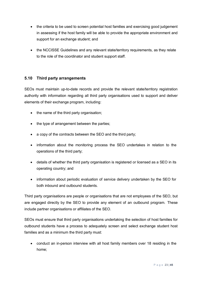- the criteria to be used to screen potential host families and exercising good judgement in assessing if the host family will be able to provide the appropriate environment and support for an exchange student; and
- the NCCISSE Guidelines and any relevant state/territory requirements, as they relate to the role of the coordinator and student support staff.

## **5.10 Third party arrangements**

SEOs must maintain up-to-date records and provide the relevant state/territory registration authority with information regarding all third party organisations used to support and deliver elements of their exchange program, including:

- the name of the third party organisation;
- the type of arrangement between the parties;
- a copy of the contracts between the SEO and the third party;
- information about the monitoring process the SEO undertakes in relation to the operations of the third party;
- details of whether the third party organisation is registered or licensed as a SEO in its operating country; and
- information about periodic evaluation of service delivery undertaken by the SEO for both inbound and outbound students.

Third party organisations are people or organisations that are not employees of the SEO, but are engaged directly by the SEO to provide any element of an outbound program. These include partner organisations or affiliates of the SEO.

SEOs must ensure that third party organisations undertaking the selection of host families for outbound students have a process to adequately screen and select exchange student host families and as a minimum the third party must:

• conduct an in-person interview with all host family members over 18 residing in the home;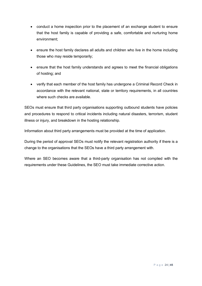- conduct a home inspection prior to the placement of an exchange student to ensure that the host family is capable of providing a safe, comfortable and nurturing home environment;
- ensure the host family declares all adults and children who live in the home including those who may reside temporarily;
- ensure that the host family understands and agrees to meet the financial obligations of hosting; and
- verify that each member of the host family has undergone a Criminal Record Check in accordance with the relevant national, state or territory requirements, in all countries where such checks are available.

SEOs must ensure that third party organisations supporting outbound students have policies and procedures to respond to critical incidents including natural disasters, terrorism, student illness or injury, and breakdown in the hosting relationship.

Information about third party arrangements must be provided at the time of application.

During the period of approval SEOs must notify the relevant registration authority if there is a change to the organisations that the SEOs have a third party arrangement with.

Where an SEO becomes aware that a third-party organisation has not complied with the requirements under these Guidelines, the SEO must take immediate corrective action.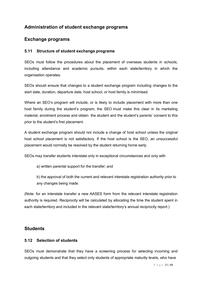# **Administration of student exchange programs**

# **Exchange programs**

#### **5.11 Structure of student exchange programs**

SEOs must follow the procedures about the placement of overseas students in schools, including attendance and academic pursuits, within each state/territory in which the organisation operates.

SEOs should ensure that changes to a student exchange program including changes to the start date, duration, departure date, host school, or host family is minimised.

Where an SEO's program will include, or is likely to include placement with more than one host family during the student's program, the SEO must make this clear in its marketing material, enrolment process and obtain the student and the student's parents' consent to this prior to the student's first placement.

A student exchange program should not include a change of host school unless the original host school placement is not satisfactory. If the host school is the SEO, an unsuccessful placement would normally be resolved by the student returning home early.

SEOs may transfer students interstate only in exceptional circumstances and only with

a) written parental support for the transfer; and

b) the approval of both the current and relevant interstate registration authority prior to any changes being made.

(Note: for an interstate transfer a new AASES form from the relevant interstate registration authority is required. Reciprocity will be calculated by allocating the time the student spent in each state/territory and included in the relevant state/territory's annual reciprocity report.)

## **Students**

## **5.12 Selection of students**

SEOs must demonstrate that they have a screening process for selecting incoming and outgoing students and that they select only students of appropriate maturity levels, who have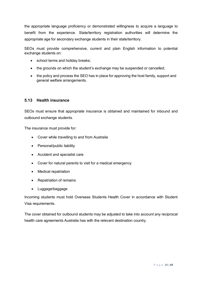the appropriate language proficiency or demonstrated willingness to acquire a language to benefit from the experience. State/territory registration authorities will determine the appropriate age for secondary exchange students in their state/territory.

SEOs must provide comprehensive, current and plain English information to potential exchange students on:

- school terms and holiday breaks;
- the grounds on which the student's exchange may be suspended or cancelled;
- the policy and process the SEO has in place for approving the host family, support and general welfare arrangements.

#### **5.13 Health insurance**

SEOs must ensure that appropriate insurance is obtained and maintained for inbound and outbound exchange students.

The insurance must provide for:

- Cover while travelling to and from Australia
- Personal/public liability
- Accident and specialist care
- Cover for natural parents to visit for a medical emergency
- Medical repatriation
- Repatriation of remains
- Luggage/baggage

Incoming students must hold Overseas Students Health Cover in accordance with Student Visa requirements.

The cover obtained for outbound students may be adjusted to take into account any reciprocal health care agreements Australia has with the relevant destination country.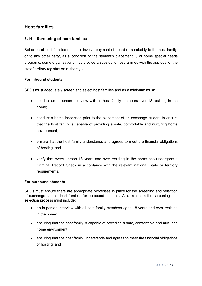# **Host families**

#### **5.14 Screening of host families**

Selection of host families must not involve payment of board or a subsidy to the host family, or to any other party, as a condition of the student's placement. (For some special needs programs, some organisations may provide a subsidy to host families with the approval of the state/territory registration authority.)

#### **For inbound students**

SEOs must adequately screen and select host families and as a minimum must:

- conduct an in-person interview with all host family members over 18 residing in the home;
- conduct a home inspection prior to the placement of an exchange student to ensure that the host family is capable of providing a safe, comfortable and nurturing home environment;
- ensure that the host family understands and agrees to meet the financial obligations of hosting; and
- verify that every person 18 years and over residing in the home has undergone a Criminal Record Check in accordance with the relevant national, state or territory requirements.

#### **For outbound students**

SEOs must ensure there are appropriate processes in place for the screening and selection of exchange student host families for outbound students. At a minimum the screening and selection process must include:

- an in-person interview with all host family members aged 18 years and over residing in the home;
- ensuring that the host family is capable of providing a safe, comfortable and nurturing home environment;
- ensuring that the host family understands and agrees to meet the financial obligations of hosting; and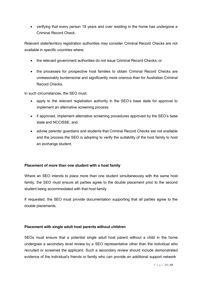• verifying that every person 18 years and over residing in the home has undergone a Criminal Record Check.

Relevant state/territory registration authorities may consider Criminal Record Checks are not available in specific countries where:

- the relevant government authorities do not issue Criminal Record Checks; or
- the processes for prospective host families to obtain Criminal Record Checks are unreasonably burdensome and significantly more onerous than for Australian Criminal Record Checks.

In such circumstances, the SEO must:

- apply to the relevant registration authority in the SEO's base state for approval to implement an alternative screening process;
- if approved, implement alternative screening procedures approved by the SEO's base state and NCCISSE, and
- advise parents/ guardians and students that Criminal Record Checks are not available and the process the SEO is adopting to verify the suitability of the host family to host an exchange student.

#### **Placement of more than one student with a host family**

Where an SEO intends to place more than one student simultaneously with the same host family, the SEO must ensure all parties agree to the double placement prior to the second student being accommodated with that host family.

If requested, the SEO must provide documentation supporting that all parties agree to the double placements.

#### **Placement with single adult host parents without children**

SEOs must ensure that a potential single adult host parent without a child in the home undergoes a secondary level review by a SEO representative other than the individual who recruited or screened the applicant. Such a secondary review should include demonstrated evidence of the individual's friends or family who can provide an additional support network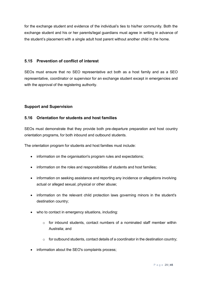for the exchange student and evidence of the individual's ties to his/her community. Both the exchange student and his or her parents/legal guardians must agree in writing in advance of the student's placement with a single adult host parent without another child in the home.

#### **5.15 Prevention of conflict of interest**

SEOs must ensure that no SEO representative act both as a host family and as a SEO representative, coordinator or supervisor for an exchange student except in emergencies and with the approval of the registering authority.

## **Support and Supervision**

## **5.16 Orientation for students and host families**

SEOs must demonstrate that they provide both pre-departure preparation and host country orientation programs, for both inbound and outbound students.

The orientation program for students and host families must include:

- information on the organisation's program rules and expectations;
- information on the roles and responsibilities of students and host families;
- information on seeking assistance and reporting any incidence or allegations involving actual or alleged sexual, physical or other abuse;
- information on the relevant child protection laws governing minors in the student's destination country;
- who to contact in emergency situations, including:
	- o for inbound students, contact numbers of a nominated staff member within Australia; and
	- $\circ$  for outbound students, contact details of a coordinator in the destination country;
- information about the SEO's complaints process: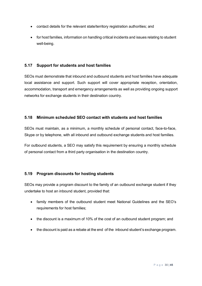- contact details for the relevant state/territory registration authorities; and
- for host families, information on handling critical incidents and issues relating to student well-being.

#### **5.17 Support for students and host families**

SEOs must demonstrate that inbound and outbound students and host families have adequate local assistance and support. Such support will cover appropriate reception, orientation, accommodation, transport and emergency arrangements as well as providing ongoing support networks for exchange students in their destination country.

## **5.18 Minimum scheduled SEO contact with students and host families**

SEOs must maintain, as a minimum, a monthly schedule of personal contact, face-to-face, Skype or by telephone, with all inbound and outbound exchange students and host families.

For outbound students, a SEO may satisfy this requirement by ensuring a monthly schedule of personal contact from a third party organisation in the destination country.

## **5.19 Program discounts for hosting students**

SEOs may provide a program discount to the family of an outbound exchange student if they undertake to host an inbound student, provided that:

- family members of the outbound student meet National Guidelines and the SEO's requirements for host families;
- the discount is a maximum of 10% of the cost of an outbound student program; and
- the discount is paid as a rebate at the end of the inbound student's exchange program.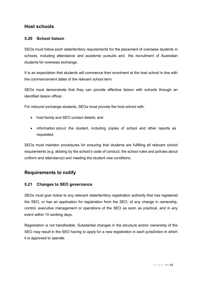# **Host schools**

## **5.20 School liaison**

SEOs must follow each state/territory requirements for the placement of overseas students in schools, including attendance and academic pursuits and the recruitment of Australian students for overseas exchange.

It is an expectation that students will commence their enrolment at the host school in line with the commencement dates of the relevant school term.

SEOs must demonstrate that they can provide effective liaison with schools through an identified liaison officer.

For inbound exchange students, SEOs must provide the host school with:

- host family and SEO contact details; and
- information about the student, including copies of school and other reports as requested.

SEOs must maintain procedures for ensuring that students are fulfilling all relevant school requirements (e.g. abiding by the school's code of conduct, the school rules and policies about uniform and attendance) and meeting the student visa conditions.

# **Requirements to notify**

#### **5.21 Changes to SEO governance**

SEOs must give notice to any relevant state/territory registration authority that has registered the SEO, or has an application for registration from the SEO, of any change in ownership, control, executive management or operations of the SEO as soon as practical, and in any event within 10 working days.

Registration is not transferable. Substantial changes in the structure and/or ownership of the SEO may result in the SEO having to apply for a new registration in each jurisdiction in which it is approved to operate.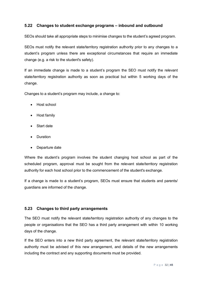#### **5.22 Changes to student exchange programs – inbound and outbound**

SEOs should take all appropriate steps to minimise changes to the student's agreed program.

SEOs must notify the relevant state/territory registration authority prior to any changes to a student's program unless there are exceptional circumstances that require an immediate change (e.g. a risk to the student's safety).

If an immediate change is made to a student's program the SEO must notify the relevant state/territory registration authority as soon as practical but within 5 working days of the change.

Changes to a student's program may include, a change to:

- Host school
- Host family
- Start date
- Duration
- Departure date

Where the student's program involves the student changing host school as part of the scheduled program, approval must be sought from the relevant state/territory registration authority for each host school prior to the commencement of the student's exchange.

If a change is made to a student's program, SEOs must ensure that students and parents/ guardians are informed of the change.

#### **5.23 Changes to third party arrangements**

The SEO must notify the relevant state/territory registration authority of any changes to the people or organisations that the SEO has a third party arrangement with within 10 working days of the change.

If the SEO enters into a new third party agreement, the relevant state/territory registration authority must be advised of this new arrangement, and details of the new arrangements including the contract and any supporting documents must be provided.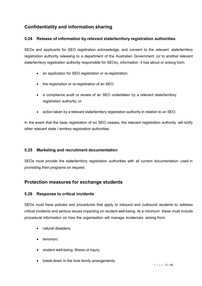# **Confidentiality and information sharing**

## **5.24 Release of information by relevant state/territory registration authorities**

SEOs and applicants for SEO registration acknowledge, and consent to the relevant state/territory registration authority releasing to a department of the Australian Government (or to another relevant state/territory registration authority responsible for SEOs), information it has about or arising from:

- an application for SEO registration or re-registration;
- the registration or re-registration of an SEO;
- a compliance audit or review of an SEO undertaken by a relevant state/territory registration authority; or
- action taken by a relevant state/territory registration authority in relation to an SEO.

In the event that the base registration of an SEO ceases, the relevant registration authority will notify other relevant state / territory registration authorities.

#### **5.25 Marketing and recruitment documentation**

SEOs must provide the state/territory registration authorities with all current documentation used in promoting their programs on request.

# **Protection measures for exchange students**

#### **5.26 Response to critical incidents**

SEOs must have policies and procedures that apply to inbound and outbound students to address critical incidents and serious issues impacting on student well-being. At a minimum these must include procedural information on how the organisation will manage incidences arising from:

- natural disasters;
- terrorism:
- student well-being, illness or injury;
- break-down in the host family arrangements.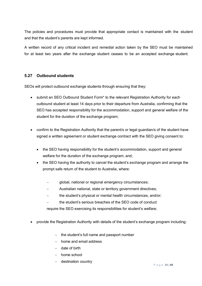The policies and procedures must provide that appropriate contact is maintained with the student and that the student's parents are kept informed.

A written record of any critical incident and remedial action taken by the SEO must be maintained for at least two years after the exchange student ceases to be an accepted exchange student.

## **5.27 Outbound students**

SEOs will protect outbound exchange students through ensuring that they:

- submit an SEO Outbound Student Form\* to the relevant Registration Authority for each outbound student at least 14 days prior to their departure from Australia, confirming that the SEO has accepted responsibility for the accommodation, support and general welfare of the student for the duration of the exchange program;
- confirm to the Registration Authority that the parent/s or legal guardian/s of the student have signed a written agreement or student exchange contract with the SEO giving consent to:
	- the SEO having responsibility for the student's accommodation, support and general welfare for the duration of the exchange program, and;
	- the SEO having the authority to cancel the student's exchange program and arrange the prompt safe return of the student to Australia, where:
		- global, national or regional emergency circumstances;
		- − Australian national, state or territory government directives;
		- the student's physical or mental health circumstances, and/or;
		- the student's serious breaches of the SEO code of conduct

require the SEO exercising its responsibilities for student's welfare;

- provide the Registration Authority with details of the student's exchange program including:
	- − the student's full name and passport number
	- − home and email address
	- − date of birth
	- − home school
	- − destination country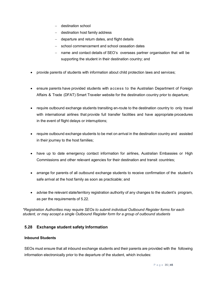- − destination school
- − destination host family address
- − departure and return dates, and flight details
- school commencement and school cessation dates
- name and contact details of SEO's overseas partner organisation that will be supporting the student in their destination country; and
- provide parents of students with information about child protection laws and services;
- ensure parents have provided students with access to the Australian Department of Foreign Affairs & Trade (DFAT) Smart Traveler website for the destination country prior to departure;
- require outbound exchange students transiting en-route to the destination country to only travel with international airlines that provide full transfer facilities and have appropriate procedures in the event of flight delays or interruptions;
- require outbound exchange students to be met on arrival in the destination country and assisted in their journey to the host families;
- have up to date emergency contact information for airlines, Australian Embassies or High Commissions and other relevant agencies for their destination and transit countries;
- arrange for parents of all outbound exchange students to receive confirmation of the student's safe arrival at the host family as soon as practicable; and
- advise the relevant state/territory registration authority of any changes to the student's program, as per the requirements of 5.22.

*\*Registration Authorities may require SEOs to submit individual Outbound Register forms for each student, or may accept a single Outbound Register form for a group of outbound students*

## **5.28 Exchange student safety Information**

#### **Inbound Students**

SEOs must ensure that all inbound exchange students and their parents are provided with the following information electronically prior to the departure of the student, which includes: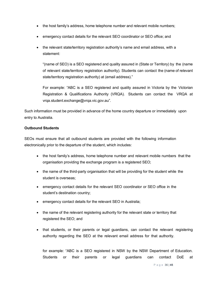- the host family's address, home telephone number and relevant mobile numbers;
- emergency contact details for the relevant SEO coordinator or SEO office; and
- the relevant state/territory registration authority's name and email address, with a statement:

"(name of SEO) is a SEO registered and quality assured in (State or Territory) by the (name of relevant state/territory registration authority). Students can contact the (name of relevant state/territory registration authority) at (email address)."

For example: "ABC is a SEO registered and quality assured in Victoria by the Victorian Registration & Qualifications Authority (VRQA). Students can contact the VRQA at [vrqa.student.exchange@vrqa.vic.gov.au"](mailto:vrqa.student.exchange@vrqa.vic.gov.au).

Such information must be provided in advance of the home country departure or immediately upon entry to Australia.

#### **Outbound Students**

SEOs must ensure that all outbound students are provided with the following information electronically prior to the departure of the student, which includes:

- the host family's address, home telephone number and relevant mobile numbers that the organisation providing the exchange program is a registered SEO;
- the name of the third-party organisation that will be providing for the student while the student is overseas;
- emergency contact details for the relevant SEO coordinator or SEO office in the student's destination country;
- emergency contact details for the relevant SEO in Australia;
- the name of the relevant registering authority for the relevant state or territory that registered the SEO; and
- that students, or their parents or legal guardians, can contact the relevant registering authority regarding the SEO at the relevant email address for that authority.

for example: "ABC is a SEO registered in NSW by the NSW Department of Education. Students or their parents or legal guardians can contact DoE a[t](mailto:studentexchange@det.nsw.edu.au)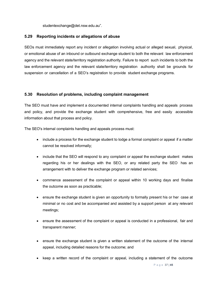[studentexchange@det.nsw.edu.au"](mailto:studentexchange@det.nsw.edu.au).

#### **5.29 Reporting incidents or allegations of abuse**

SEOs must immediately report any incident or allegation involving actual or alleged sexual, physical, or emotional abuse of an inbound or outbound exchange student to both the relevant law enforcement agency and the relevant state/territory registration authority. Failure to report such incidents to both the law enforcement agency and the relevant state/territory registration authority shall be grounds for suspension or cancellation of a SEO's registration to provide student exchange programs.

#### **5.30 Resolution of problems, including complaint management**

The SEO must have and implement a documented internal complaints handling and appeals process and policy, and provide the exchange student with comprehensive, free and easily accessible information about that process and policy.

The SEO's internal complaints handling and appeals process must:

- include a process for the exchange student to lodge a formal complaint or appeal if a matter cannot be resolved informally;
- include that the SEO will respond to any complaint or appeal the exchange student makes regarding his or her dealings with the SEO, or any related party the SEO has an arrangement with to deliver the exchange program or related services;
- commence assessment of the complaint or appeal within 10 working days and finalise the outcome as soon as practicable;
- ensure the exchange student is given an opportunity to formally present his or her case at minimal or no cost and be accompanied and assisted by a support person at any relevant meetings;
- ensure the assessment of the complaint or appeal is conducted in a professional, fair and transparent manner;
- ensure the exchange student is given a written statement of the outcome of the internal appeal, including detailed reasons for the outcome; and
- keep a written record of the complaint or appeal, including a statement of the outcome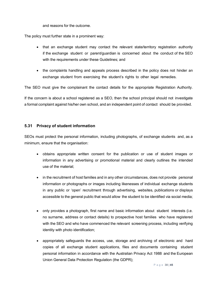and reasons for the outcome.

The policy must further state in a prominent way:

- that an exchange student may contact the relevant state/territory registration authority if the exchange student or parent/guardian is concerned about the conduct of the SEO with the requirements under these Guidelines; and
- the complaints handling and appeals process described in the policy does not hinder an exchange student from exercising the student's rights to other legal remedies.

The SEO must give the complainant the contact details for the appropriate Registration Authority.

If the concern is about a school registered as a SEO, then the school principal should not investigate a formal complaint against his/her own school, and an independent point of contact should be provided.

#### **5.31 Privacy of student information**

SEOs must protect the personal information, including photographs, of exchange students and, as a minimum, ensure that the organisation:

- obtains appropriate written consent for the publication or use of student images or information in any advertising or promotional material and clearly outlines the intended use of the material;
- in the recruitment of host families and in any other circumstances, does not provide personal information or photographs or images including likenesses of individual exchange students in any public or 'open' recruitment through advertising, websites, publications or displays accessible to the general public that would allow the student to be identified via social media;
- only provides a photograph, first name and basic information about student interests (i.e. no surname, address or contact details) to prospective host families who have registered with the SEO and who have commenced the relevant screening process, including verifying identity with photo identification;
- appropriately safeguards the access, use, storage and archiving of electronic and hard copies of all exchange student applications, files and documents containing student personal information in accordance with the Australian Privacy Act 1988 and the European Union General Data Protection Regulation (the GDPR);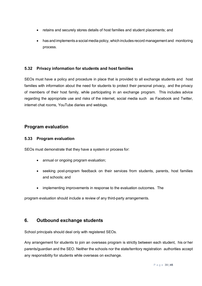- retains and securely stores details of host families and student placements; and
- has and implements a social media policy, which includes record management and monitoring process.

## **5.32 Privacy information for students and host families**

SEOs must have a policy and procedure in place that is provided to all exchange students and host families with information about the need for students to protect their personal privacy, and the privacy of members of their host family, while participating in an exchange program. This includes advice regarding the appropriate use and risks of the internet, social media such as Facebook and Twitter, internet chat rooms, YouTube diaries and weblogs.

## **Program evaluation**

#### **5.33 Program evaluation**

SEOs must demonstrate that they have a system or process for:

- annual or ongoing program evaluation;
- seeking post-program feedback on their services from students, parents, host families and schools; and
- implementing improvements in response to the evaluation outcomes. The

program evaluation should include a review of any third-party arrangements.

## **6. Outbound exchange students**

School principals should deal only with registered SEOs.

Any arrangement for students to join an overseas program is strictly between each student, his or her parents/guardian and the SEO. Neither the schools nor the state/territory registration authorities accept any responsibility for students while overseas on exchange.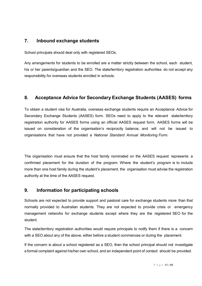# **7. Inbound exchange students**

School principals should deal only with registered SEOs.

Any arrangements for students to be enrolled are a matter strictly between the school, each student, his or her parents/guardian and the SEO. The state/territory registration authorities do not accept any responsibility for overseas students enrolled in schools.

# **8. Acceptance Advice for Secondary Exchange Students (AASES) forms**

To obtain a student visa for Australia, overseas exchange students require an Acceptance Advice for Secondary Exchange Students (AASES) form. SEOs need to apply to the relevant state/territory registration authority for AASES forms using an official AASES request form. AASES forms will be issued on consideration of the organisation's reciprocity balance, and will not be issued to organisations that have not provided a *National Standard Annual Monitoring Form*.

The organisation must ensure that the host family nominated on the AASES request represents a confirmed placement for the duration of the program. Where the student's program is to include more than one host family during the student's placement, the organisation must advise the registration authority at the time of the AASES request.

# **9. Information for participating schools**

Schools are not expected to provide support and pastoral care for exchange students more than that normally provided to Australian students. They are not expected to provide crisis or emergency management networks for exchange students except where they are the registered SEO for the student.

The state/territory registration authorities would require principals to notify them if there is a concern with a SEO about any of the above, either before a student commences or during the placement.

If the concern is about a school registered as a SEO, then the school principal should not investigate a formal complaint against his/her own school, and an independent point of contact should be provided.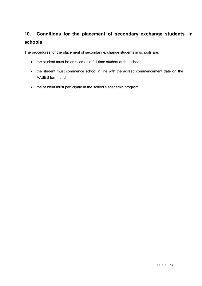# **10. Conditions for the placement of secondary exchange students in schools**

The procedures for the placement of secondary exchange students in schools are:

- the student must be enrolled as a full time student at the school;
- the student must commence school in line with the agreed commencement date on the AASES form; and
- the student must participate in the school's academic program.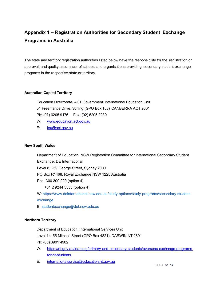# **Appendix 1 – Registration Authorities for Secondary Student Exchange Programs in Australia**

The state and territory registration authorities listed below have the responsibility for the registration or approval, and quality assurance, of schools and organisations providing secondary student exchange programs in the respective state or territory.

#### **Australian Capital Territory**

Education Directorate, ACT Government International Education Unit 51 Freemantle Drive, Stirling (GPO Box 158) CANBERRA ACT 2601 Ph: (02) 6205 9176 Fax: (02) 6205 9239

- W: [www.education.act.gov.au](http://www.education.act.gov.au/)
- E: [ieu@act.gov.au](mailto:ieu@act.gov.au)

#### **New South Wales**

Department of Education, NSW Registration Committee for International Secondary Student Exchange, DE International Level 8, 259 George Street, Sydney 2000 PO Box R1468, Royal Exchange NSW 1225 Australia Ph: 1300 300 229 (option 4) +61 2 9244 5555 (option 4) W: https://www.deinternational.nsw.edu.au/study-options/study-programs/secondary-studentexchange E: studentexchange@det.nsw.edu.au

#### **Northern Territory**

Department of Education, International Services Unit Level 14, 55 Mitchell Street (GPO Box 4821), DARWIN NT 0801 Ph: (08) 8901 4902

- W: [https://nt.gov.au/learning/primary-and-secondary-students/overseas-exchange-programs](https://nt.gov.au/learning/primary-and-secondary-students/overseas-exchange-programs-for-nt-students)[for-nt-students](https://nt.gov.au/learning/primary-and-secondary-students/overseas-exchange-programs-for-nt-students)
- E: [internationalservice@education.nt.gov.au](mailto:internationalservice@education.nt.gov.au)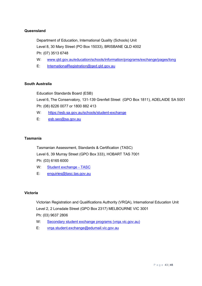#### **Queensland**

Department of Education, International Quality (Schools) Unit

Level 8, 30 Mary Street (PO Box 15033), BRISBANE QLD 4002

Ph: (07) 3513 6748

- W: [www.qld.gov.au/education/schools/information/programs/exchange/pages/long](http://www.qld.gov.au/education/schools/information/programs/exchange/pages/long)
- E: [InternationalRegistration@qed.qld.gov.au](mailto:InternationalRegistration@qed.qld.gov.au)

#### **South Australia**

Education Standards Board (ESB)

Level 6, The Conservatory, 131-139 Grenfell Street (GPO Box 1811), ADELAIDE SA 5001 Ph: (08) 8226 0077 or 1800 882 413

- W: <https://esb.sa.gov.au/schools/student-exchange>
- E: [esb.seo@sa.gov.au](mailto:esb.seo@sa.gov.au)

#### **Tasmania**

Tasmanian Assessment, Standards & Certification (TASC) Level 6, 39 Murray Street (GPO Box 333), HOBART TAS 7001

Ph: (03) 6165 6000

- W: [Student exchange -](https://www.tasc.tas.gov.au/students/international-students/student-exchange/) TASC
- E: [enquiries@tasc.tas.gov.au](mailto:enquiries@tasc.tas.gov.au)

#### **Victoria**

Victorian Registration and Qualifications Authority (VRQA), International Education Unit Level 2, 2 Lonsdale Street (GPO Box 2317) MELBOURNE VIC 3001 Ph: (03) 9637 2806

- W: [Secondary student exchange programs \(vrqa.vic.gov.au\)](https://aus01.safelinks.protection.outlook.com/?url=https%3A%2F%2Fwww.vrqa.vic.gov.au%2Fschools%2FPages%2Fsecondary-student-exchange-programs.aspx&data=04%7C01%7CGary.Bourton%40education.vic.gov.au%7C8cc417dfbfdb44db994208d8c895bb1b%7Cd96cb3371a8744cfb69b3cec334a4c1f%7C0%7C0%7C637479892842527949%7CUnknown%7CTWFpbGZsb3d8eyJWIjoiMC4wLjAwMDAiLCJQIjoiV2luMzIiLCJBTiI6Ik1haWwiLCJXVCI6Mn0%3D%7C1000&sdata=3%2B5K5MwQ6PmCxhe2E%2FADe8PuYht8TRPyAdRdwsPJjWY%3D&reserved=0)
- E: [vrqa.student.exchange@edumail.vic.gov.au](mailto:vrqa.student.exchange@edumail.vic.gov.au)